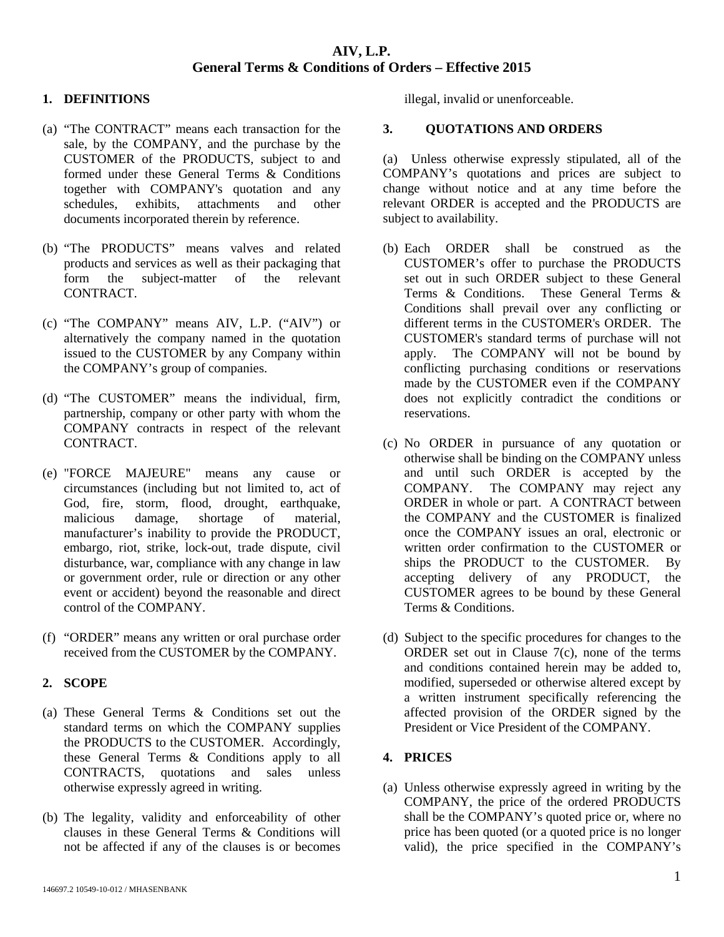### **1. DEFINITIONS**

- (a) "The CONTRACT" means each transaction for the sale, by the COMPANY, and the purchase by the CUSTOMER of the PRODUCTS, subject to and formed under these General Terms & Conditions together with COMPANY's quotation and any schedules, exhibits, attachments and other documents incorporated therein by reference.
- (b) "The PRODUCTS" means valves and related products and services as well as their packaging that form the subject-matter of the relevant CONTRACT.
- (c) "The COMPANY" means AIV, L.P. ("AIV") or alternatively the company named in the quotation issued to the CUSTOMER by any Company within the COMPANY's group of companies.
- (d) "The CUSTOMER" means the individual, firm, partnership, company or other party with whom the COMPANY contracts in respect of the relevant CONTRACT.
- (e) "FORCE MAJEURE" means any cause or circumstances (including but not limited to, act of God, fire, storm, flood, drought, earthquake, malicious damage, shortage of material, manufacturer's inability to provide the PRODUCT, embargo, riot, strike, lock-out, trade dispute, civil disturbance, war, compliance with any change in law or government order, rule or direction or any other event or accident) beyond the reasonable and direct control of the COMPANY.
- (f) "ORDER" means any written or oral purchase order received from the CUSTOMER by the COMPANY.

#### **2. SCOPE**

- (a) These General Terms & Conditions set out the standard terms on which the COMPANY supplies the PRODUCTS to the CUSTOMER. Accordingly, these General Terms & Conditions apply to all CONTRACTS, quotations and sales unless otherwise expressly agreed in writing.
- (b) The legality, validity and enforceability of other clauses in these General Terms & Conditions will not be affected if any of the clauses is or becomes

illegal, invalid or unenforceable.

#### **3. QUOTATIONS AND ORDERS**

(a) Unless otherwise expressly stipulated, all of the COMPANY's quotations and prices are subject to change without notice and at any time before the relevant ORDER is accepted and the PRODUCTS are subject to availability.

- (b) Each ORDER shall be construed as the CUSTOMER's offer to purchase the PRODUCTS set out in such ORDER subject to these General Terms & Conditions. These General Terms & Conditions shall prevail over any conflicting or different terms in the CUSTOMER's ORDER. The CUSTOMER's standard terms of purchase will not apply. The COMPANY will not be bound by conflicting purchasing conditions or reservations made by the CUSTOMER even if the COMPANY does not explicitly contradict the conditions or reservations.
- (c) No ORDER in pursuance of any quotation or otherwise shall be binding on the COMPANY unless and until such ORDER is accepted by the COMPANY. The COMPANY may reject any ORDER in whole or part. A CONTRACT between the COMPANY and the CUSTOMER is finalized once the COMPANY issues an oral, electronic or written order confirmation to the CUSTOMER or ships the PRODUCT to the CUSTOMER. By accepting delivery of any PRODUCT, the CUSTOMER agrees to be bound by these General Terms & Conditions.
- (d) Subject to the specific procedures for changes to the ORDER set out in Clause 7(c), none of the terms and conditions contained herein may be added to, modified, superseded or otherwise altered except by a written instrument specifically referencing the affected provision of the ORDER signed by the President or Vice President of the COMPANY.

#### **4. PRICES**

(a) Unless otherwise expressly agreed in writing by the COMPANY, the price of the ordered PRODUCTS shall be the COMPANY's quoted price or, where no price has been quoted (or a quoted price is no longer valid), the price specified in the COMPANY's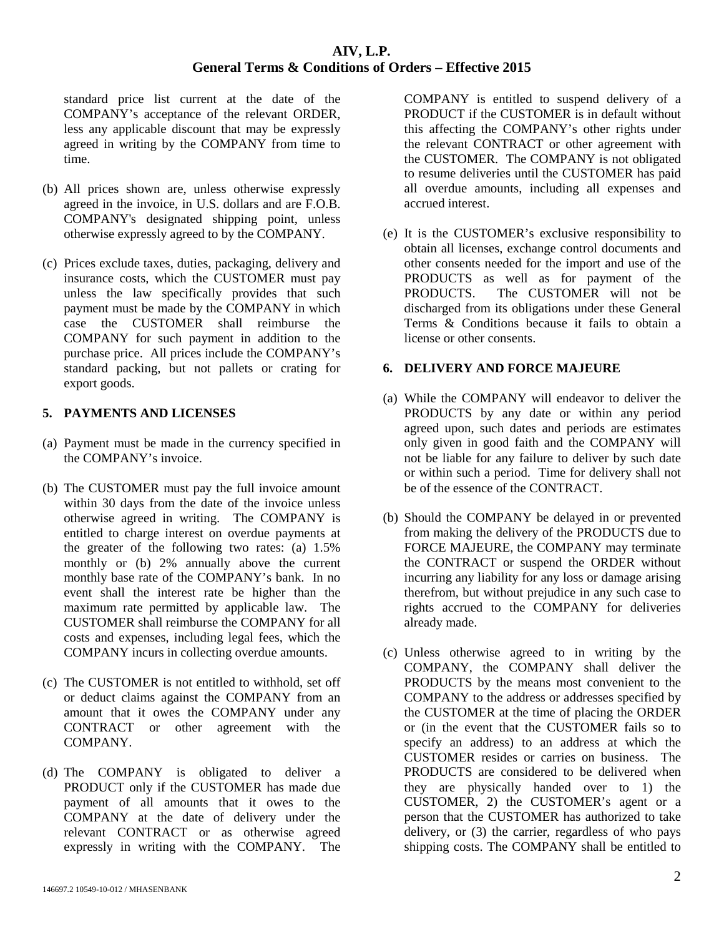standard price list current at the date of the COMPANY's acceptance of the relevant ORDER, less any applicable discount that may be expressly agreed in writing by the COMPANY from time to time.

- (b) All prices shown are, unless otherwise expressly agreed in the invoice, in U.S. dollars and are F.O.B. COMPANY's designated shipping point, unless otherwise expressly agreed to by the COMPANY.
- (c) Prices exclude taxes, duties, packaging, delivery and insurance costs, which the CUSTOMER must pay unless the law specifically provides that such payment must be made by the COMPANY in which case the CUSTOMER shall reimburse the COMPANY for such payment in addition to the purchase price. All prices include the COMPANY's standard packing, but not pallets or crating for export goods.

## **5. PAYMENTS AND LICENSES**

- (a) Payment must be made in the currency specified in the COMPANY's invoice.
- (b) The CUSTOMER must pay the full invoice amount within 30 days from the date of the invoice unless otherwise agreed in writing. The COMPANY is entitled to charge interest on overdue payments at the greater of the following two rates: (a) 1.5% monthly or (b) 2% annually above the current monthly base rate of the COMPANY's bank. In no event shall the interest rate be higher than the maximum rate permitted by applicable law. The CUSTOMER shall reimburse the COMPANY for all costs and expenses, including legal fees, which the COMPANY incurs in collecting overdue amounts.
- (c) The CUSTOMER is not entitled to withhold, set off or deduct claims against the COMPANY from an amount that it owes the COMPANY under any CONTRACT or other agreement with the COMPANY.
- (d) The COMPANY is obligated to deliver a PRODUCT only if the CUSTOMER has made due payment of all amounts that it owes to the COMPANY at the date of delivery under the relevant CONTRACT or as otherwise agreed expressly in writing with the COMPANY. The

COMPANY is entitled to suspend delivery of a PRODUCT if the CUSTOMER is in default without this affecting the COMPANY's other rights under the relevant CONTRACT or other agreement with the CUSTOMER. The COMPANY is not obligated to resume deliveries until the CUSTOMER has paid all overdue amounts, including all expenses and accrued interest.

(e) It is the CUSTOMER's exclusive responsibility to obtain all licenses, exchange control documents and other consents needed for the import and use of the PRODUCTS as well as for payment of the<br>PRODUCTS. The CUSTOMER will not be The CUSTOMER will not be discharged from its obligations under these General Terms & Conditions because it fails to obtain a license or other consents.

#### **6. DELIVERY AND FORCE MAJEURE**

- (a) While the COMPANY will endeavor to deliver the PRODUCTS by any date or within any period agreed upon, such dates and periods are estimates only given in good faith and the COMPANY will not be liable for any failure to deliver by such date or within such a period. Time for delivery shall not be of the essence of the CONTRACT.
- (b) Should the COMPANY be delayed in or prevented from making the delivery of the PRODUCTS due to FORCE MAJEURE, the COMPANY may terminate the CONTRACT or suspend the ORDER without incurring any liability for any loss or damage arising therefrom, but without prejudice in any such case to rights accrued to the COMPANY for deliveries already made.
- (c) Unless otherwise agreed to in writing by the COMPANY, the COMPANY shall deliver the PRODUCTS by the means most convenient to the COMPANY to the address or addresses specified by the CUSTOMER at the time of placing the ORDER or (in the event that the CUSTOMER fails so to specify an address) to an address at which the CUSTOMER resides or carries on business. The PRODUCTS are considered to be delivered when they are physically handed over to 1) the CUSTOMER, 2) the CUSTOMER's agent or a person that the CUSTOMER has authorized to take delivery, or (3) the carrier, regardless of who pays shipping costs. The COMPANY shall be entitled to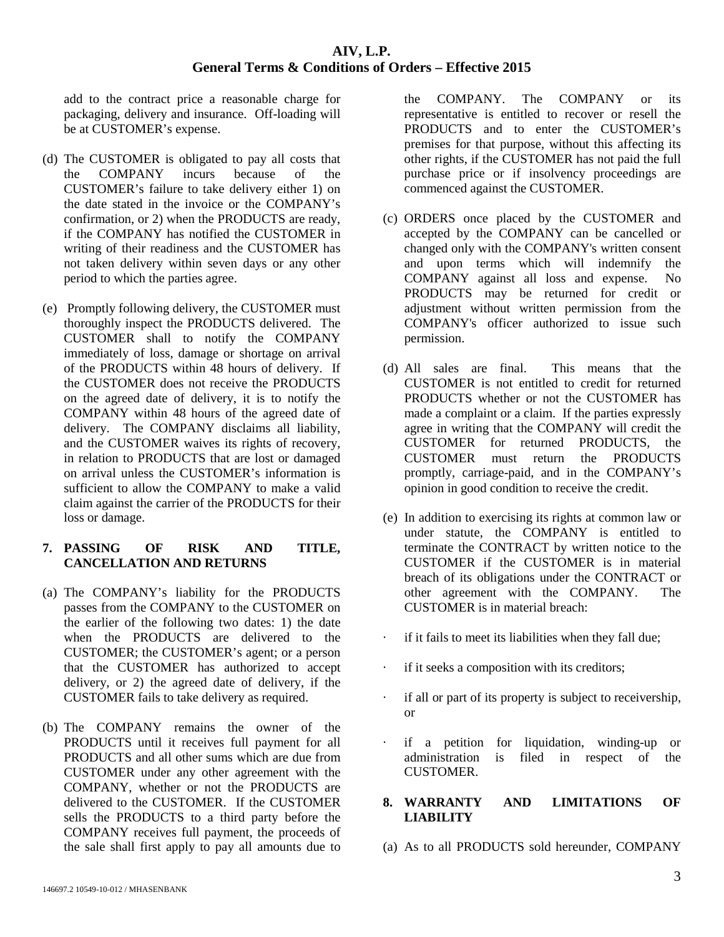add to the contract price a reasonable charge for packaging, delivery and insurance. Off-loading will be at CUSTOMER's expense.

- (d) The CUSTOMER is obligated to pay all costs that the COMPANY incurs because of the CUSTOMER's failure to take delivery either 1) on the date stated in the invoice or the COMPANY's confirmation, or 2) when the PRODUCTS are ready, if the COMPANY has notified the CUSTOMER in writing of their readiness and the CUSTOMER has not taken delivery within seven days or any other period to which the parties agree.
- (e) Promptly following delivery, the CUSTOMER must thoroughly inspect the PRODUCTS delivered. The CUSTOMER shall to notify the COMPANY immediately of loss, damage or shortage on arrival of the PRODUCTS within 48 hours of delivery. If the CUSTOMER does not receive the PRODUCTS on the agreed date of delivery, it is to notify the COMPANY within 48 hours of the agreed date of delivery. The COMPANY disclaims all liability, and the CUSTOMER waives its rights of recovery, in relation to PRODUCTS that are lost or damaged on arrival unless the CUSTOMER's information is sufficient to allow the COMPANY to make a valid claim against the carrier of the PRODUCTS for their loss or damage.

## **7. PASSING OF RISK AND TITLE, CANCELLATION AND RETURNS**

- (a) The COMPANY's liability for the PRODUCTS passes from the COMPANY to the CUSTOMER on the earlier of the following two dates: 1) the date when the PRODUCTS are delivered to the CUSTOMER; the CUSTOMER's agent; or a person that the CUSTOMER has authorized to accept delivery, or 2) the agreed date of delivery, if the CUSTOMER fails to take delivery as required.
- (b) The COMPANY remains the owner of the PRODUCTS until it receives full payment for all PRODUCTS and all other sums which are due from CUSTOMER under any other agreement with the COMPANY, whether or not the PRODUCTS are delivered to the CUSTOMER. If the CUSTOMER sells the PRODUCTS to a third party before the COMPANY receives full payment, the proceeds of the sale shall first apply to pay all amounts due to

the COMPANY. The COMPANY or its representative is entitled to recover or resell the PRODUCTS and to enter the CUSTOMER's premises for that purpose, without this affecting its other rights, if the CUSTOMER has not paid the full purchase price or if insolvency proceedings are commenced against the CUSTOMER.

- (c) ORDERS once placed by the CUSTOMER and accepted by the COMPANY can be cancelled or changed only with the COMPANY's written consent and upon terms which will indemnify the COMPANY against all loss and expense. No PRODUCTS may be returned for credit or adjustment without written permission from the COMPANY's officer authorized to issue such permission.
- (d) All sales are final. This means that the CUSTOMER is not entitled to credit for returned PRODUCTS whether or not the CUSTOMER has made a complaint or a claim. If the parties expressly agree in writing that the COMPANY will credit the CUSTOMER for returned PRODUCTS, the CUSTOMER must return the PRODUCTS promptly, carriage-paid, and in the COMPANY's opinion in good condition to receive the credit.
- (e) In addition to exercising its rights at common law or under statute, the COMPANY is entitled to terminate the CONTRACT by written notice to the CUSTOMER if the CUSTOMER is in material breach of its obligations under the CONTRACT or other agreement with the COMPANY. The CUSTOMER is in material breach:
- if it fails to meet its liabilities when they fall due;
- if it seeks a composition with its creditors;
- if all or part of its property is subject to receivership, or
- · if a petition for liquidation, winding-up or administration is filed in respect of the CUSTOMER.

## **8. WARRANTY AND LIMITATIONS OF LIABILITY**

(a) As to all PRODUCTS sold hereunder, COMPANY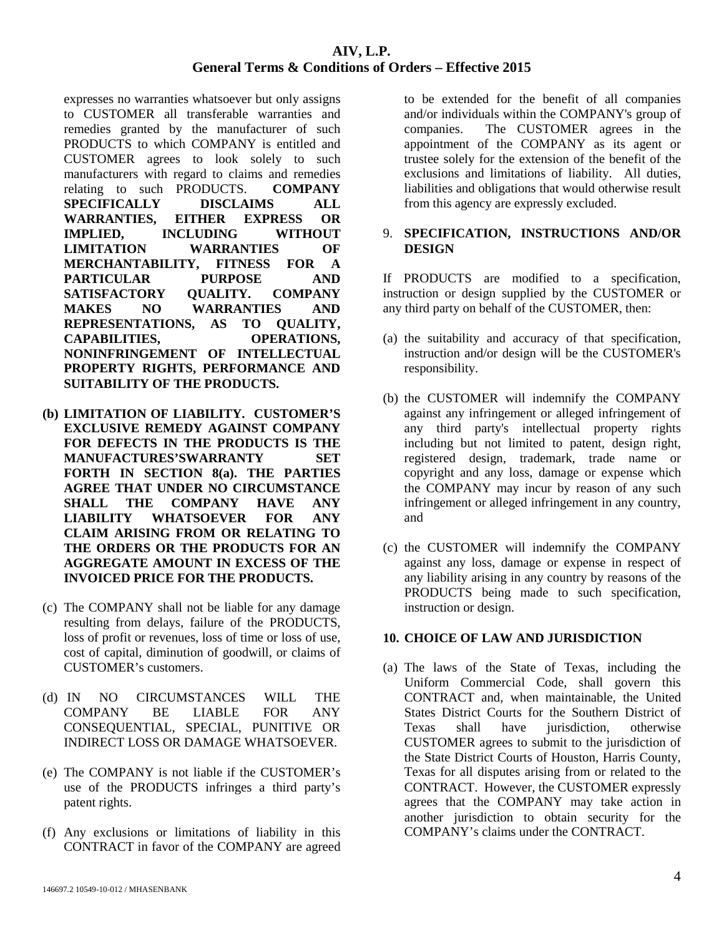expresses no warranties whatsoever but only assigns to CUSTOMER all transferable warranties and remedies granted by the manufacturer of such PRODUCTS to which COMPANY is entitled and CUSTOMER agrees to look solely to such manufacturers with regard to claims and remedies relating to such PRODUCTS. **COMPANY SPECIFICALLY DISCLAIMS ALL WARRANTIES, EITHER EXPRESS OR IMPLIED, INCLUDING WITHOUT LIMITATION WARRANTIES OF MERCHANTABILITY, FITNESS FOR A PARTICULAR PURPOSE AND SATISFACTORY QUALITY. COMPANY MAKES NO WARRANTIES AND REPRESENTATIONS, AS TO QUALITY, CAPABILITIES, OPERATIONS, NONINFRINGEMENT OF INTELLECTUAL PROPERTY RIGHTS, PERFORMANCE AND SUITABILITY OF THE PRODUCTS.** 

- **(b) LIMITATION OF LIABILITY. CUSTOMER'S EXCLUSIVE REMEDY AGAINST COMPANY FOR DEFECTS IN THE PRODUCTS IS THE MANUFACTURES'SWARRANTY SET FORTH IN SECTION 8(a). THE PARTIES AGREE THAT UNDER NO CIRCUMSTANCE SHALL THE COMPANY HAVE ANY LIABILITY WHATSOEVER FOR ANY CLAIM ARISING FROM OR RELATING TO THE ORDERS OR THE PRODUCTS FOR AN AGGREGATE AMOUNT IN EXCESS OF THE INVOICED PRICE FOR THE PRODUCTS.**
- (c) The COMPANY shall not be liable for any damage resulting from delays, failure of the PRODUCTS, loss of profit or revenues, loss of time or loss of use, cost of capital, diminution of goodwill, or claims of CUSTOMER's customers.
- (d) IN NO CIRCUMSTANCES WILL THE COMPANY BE LIABLE FOR ANY CONSEQUENTIAL, SPECIAL, PUNITIVE OR INDIRECT LOSS OR DAMAGE WHATSOEVER.
- (e) The COMPANY is not liable if the CUSTOMER's use of the PRODUCTS infringes a third party's patent rights.
- (f) Any exclusions or limitations of liability in this CONTRACT in favor of the COMPANY are agreed

to be extended for the benefit of all companies and/or individuals within the COMPANY's group of companies. The CUSTOMER agrees in the appointment of the COMPANY as its agent or trustee solely for the extension of the benefit of the exclusions and limitations of liability. All duties, liabilities and obligations that would otherwise result from this agency are expressly excluded.

#### 9. **SPECIFICATION, INSTRUCTIONS AND/OR DESIGN**

If PRODUCTS are modified to a specification, instruction or design supplied by the CUSTOMER or any third party on behalf of the CUSTOMER, then:

- (a) the suitability and accuracy of that specification, instruction and/or design will be the CUSTOMER's responsibility.
- (b) the CUSTOMER will indemnify the COMPANY against any infringement or alleged infringement of any third party's intellectual property rights including but not limited to patent, design right, registered design, trademark, trade name or copyright and any loss, damage or expense which the COMPANY may incur by reason of any such infringement or alleged infringement in any country, and
- (c) the CUSTOMER will indemnify the COMPANY against any loss, damage or expense in respect of any liability arising in any country by reasons of the PRODUCTS being made to such specification, instruction or design.

# **10. CHOICE OF LAW AND JURISDICTION**

(a) The laws of the State of Texas, including the Uniform Commercial Code, shall govern this CONTRACT and, when maintainable, the United States District Courts for the Southern District of Texas shall have jurisdiction, otherwise CUSTOMER agrees to submit to the jurisdiction of the State District Courts of Houston, Harris County, Texas for all disputes arising from or related to the CONTRACT. However, the CUSTOMER expressly agrees that the COMPANY may take action in another jurisdiction to obtain security for the COMPANY's claims under the CONTRACT.